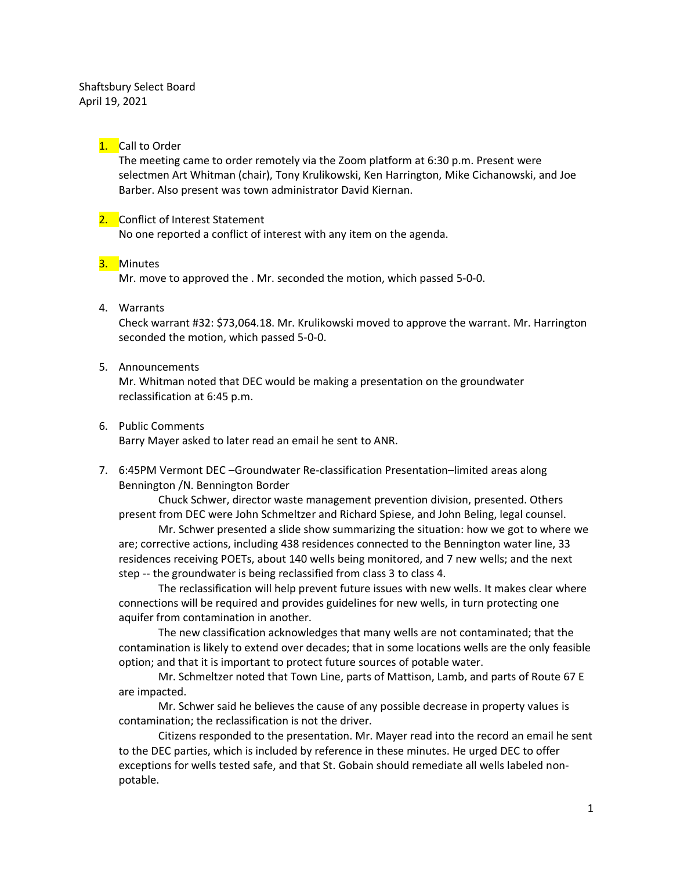Shaftsbury Select Board April 19, 2021

## 1. Call to Order

The meeting came to order remotely via the Zoom platform at 6:30 p.m. Present were selectmen Art Whitman (chair), Tony Krulikowski, Ken Harrington, Mike Cichanowski, and Joe Barber. Also present was town administrator David Kiernan.

# 2. Conflict of Interest Statement

No one reported a conflict of interest with any item on the agenda.

### 3. Minutes

Mr. move to approved the . Mr. seconded the motion, which passed 5-0-0.

4. Warrants

Check warrant #32: \$73,064.18. Mr. Krulikowski moved to approve the warrant. Mr. Harrington seconded the motion, which passed 5-0-0.

5. Announcements

Mr. Whitman noted that DEC would be making a presentation on the groundwater reclassification at 6:45 p.m.

6. Public Comments

Barry Mayer asked to later read an email he sent to ANR.

7. 6:45PM Vermont DEC –Groundwater Re-classification Presentation–limited areas along Bennington /N. Bennington Border

Chuck Schwer, director waste management prevention division, presented. Others present from DEC were John Schmeltzer and Richard Spiese, and John Beling, legal counsel.

Mr. Schwer presented a slide show summarizing the situation: how we got to where we are; corrective actions, including 438 residences connected to the Bennington water line, 33 residences receiving POETs, about 140 wells being monitored, and 7 new wells; and the next step -- the groundwater is being reclassified from class 3 to class 4.

The reclassification will help prevent future issues with new wells. It makes clear where connections will be required and provides guidelines for new wells, in turn protecting one aquifer from contamination in another.

The new classification acknowledges that many wells are not contaminated; that the contamination is likely to extend over decades; that in some locations wells are the only feasible option; and that it is important to protect future sources of potable water.

Mr. Schmeltzer noted that Town Line, parts of Mattison, Lamb, and parts of Route 67 E are impacted.

Mr. Schwer said he believes the cause of any possible decrease in property values is contamination; the reclassification is not the driver.

Citizens responded to the presentation. Mr. Mayer read into the record an email he sent to the DEC parties, which is included by reference in these minutes. He urged DEC to offer exceptions for wells tested safe, and that St. Gobain should remediate all wells labeled nonpotable.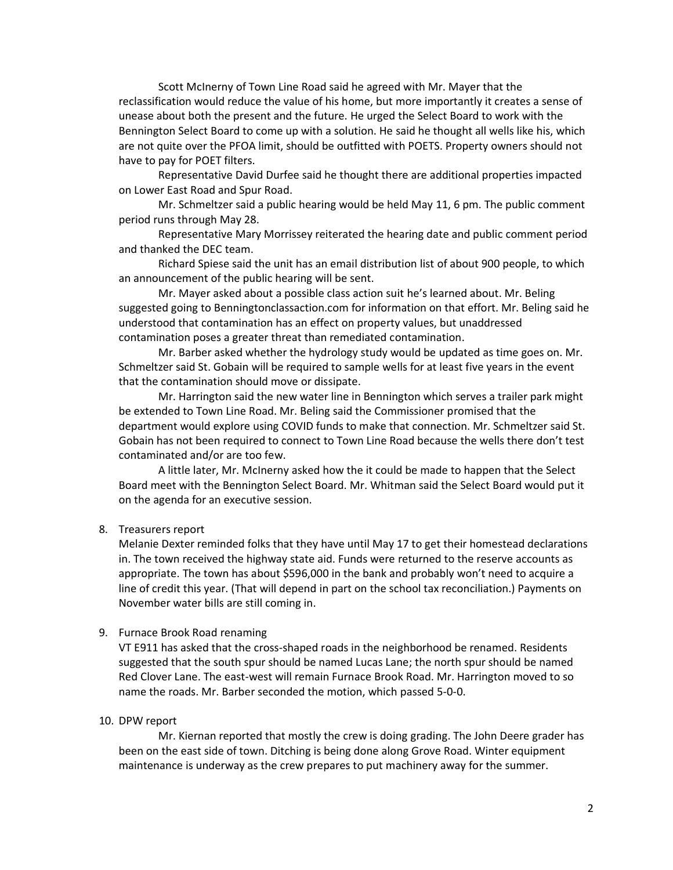Scott McInerny of Town Line Road said he agreed with Mr. Mayer that the reclassification would reduce the value of his home, but more importantly it creates a sense of unease about both the present and the future. He urged the Select Board to work with the Bennington Select Board to come up with a solution. He said he thought all wells like his, which are not quite over the PFOA limit, should be outfitted with POETS. Property owners should not have to pay for POET filters.

Representative David Durfee said he thought there are additional properties impacted on Lower East Road and Spur Road.

Mr. Schmeltzer said a public hearing would be held May 11, 6 pm. The public comment period runs through May 28.

Representative Mary Morrissey reiterated the hearing date and public comment period and thanked the DEC team.

Richard Spiese said the unit has an email distribution list of about 900 people, to which an announcement of the public hearing will be sent.

Mr. Mayer asked about a possible class action suit he's learned about. Mr. Beling suggested going to Benningtonclassaction.com for information on that effort. Mr. Beling said he understood that contamination has an effect on property values, but unaddressed contamination poses a greater threat than remediated contamination.

Mr. Barber asked whether the hydrology study would be updated as time goes on. Mr. Schmeltzer said St. Gobain will be required to sample wells for at least five years in the event that the contamination should move or dissipate.

Mr. Harrington said the new water line in Bennington which serves a trailer park might be extended to Town Line Road. Mr. Beling said the Commissioner promised that the department would explore using COVID funds to make that connection. Mr. Schmeltzer said St. Gobain has not been required to connect to Town Line Road because the wells there don't test contaminated and/or are too few.

A little later, Mr. McInerny asked how the it could be made to happen that the Select Board meet with the Bennington Select Board. Mr. Whitman said the Select Board would put it on the agenda for an executive session.

### 8. Treasurers report

Melanie Dexter reminded folks that they have until May 17 to get their homestead declarations in. The town received the highway state aid. Funds were returned to the reserve accounts as appropriate. The town has about \$596,000 in the bank and probably won't need to acquire a line of credit this year. (That will depend in part on the school tax reconciliation.) Payments on November water bills are still coming in.

### 9. Furnace Brook Road renaming

VT E911 has asked that the cross-shaped roads in the neighborhood be renamed. Residents suggested that the south spur should be named Lucas Lane; the north spur should be named Red Clover Lane. The east-west will remain Furnace Brook Road. Mr. Harrington moved to so name the roads. Mr. Barber seconded the motion, which passed 5-0-0.

### 10. DPW report

Mr. Kiernan reported that mostly the crew is doing grading. The John Deere grader has been on the east side of town. Ditching is being done along Grove Road. Winter equipment maintenance is underway as the crew prepares to put machinery away for the summer.